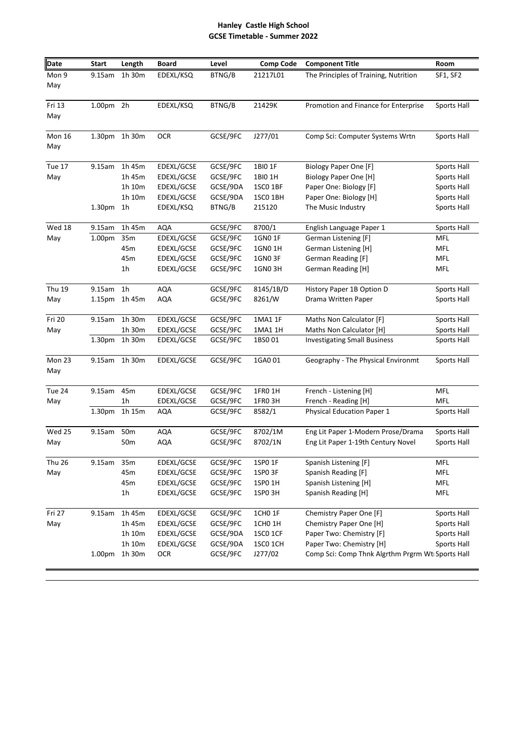## **Hanley Castle High School GCSE Timetable - Summer 2022**

| <b>Date</b>          | <b>Start</b>       | Length          | <b>Board</b> | Level    | Comp Code       | <b>Component Title</b>                           | Room        |
|----------------------|--------------------|-----------------|--------------|----------|-----------------|--------------------------------------------------|-------------|
| Mon 9<br>May         | 9.15am             | 1h 30m          | EDEXL/KSQ    | BTNG/B   | 21217L01        | The Principles of Training, Nutrition            | SF1, SF2    |
| Fri 13<br>May        | 1.00pm 2h          |                 | EDEXL/KSQ    | BTNG/B   | 21429K          | Promotion and Finance for Enterprise             | Sports Hall |
| <b>Mon 16</b><br>May |                    | 1.30pm 1h 30m   | <b>OCR</b>   | GCSE/9FC | J277/01         | Comp Sci: Computer Systems Wrtn                  | Sports Hall |
| Tue 17               | 9.15am             | 1h 45m          | EDEXL/GCSE   | GCSE/9FC | 1BIO 1F         | <b>Biology Paper One [F]</b>                     | Sports Hall |
| May                  |                    | 1h 45m          | EDEXL/GCSE   | GCSE/9FC | 1BI0 1H         | <b>Biology Paper One [H]</b>                     | Sports Hall |
|                      |                    | 1h 10m          | EDEXL/GCSE   | GCSE/9DA | 1SCO 1BF        | Paper One: Biology [F]                           | Sports Hall |
|                      |                    | 1h 10m          | EDEXL/GCSE   | GCSE/9DA | 1SCO 1BH        | Paper One: Biology [H]                           | Sports Hall |
|                      | 1.30pm             | 1 <sub>h</sub>  | EDEXL/KSQ    | BTNG/B   | 215120          | The Music Industry                               | Sports Hall |
| Wed 18               | 9.15am             | 1h 45m          | <b>AQA</b>   | GCSE/9FC | 8700/1          | English Language Paper 1                         | Sports Hall |
| May                  | 1.00 <sub>pm</sub> | 35m             | EDEXL/GCSE   | GCSE/9FC | 1GN0 1F         | German Listening [F]                             | <b>MFL</b>  |
|                      |                    | 45m             | EDEXL/GCSE   | GCSE/9FC | 1GN0 1H         | German Listening [H]                             | <b>MFL</b>  |
|                      |                    | 45m             | EDEXL/GCSE   | GCSE/9FC | 1GNO 3F         | German Reading [F]                               | <b>MFL</b>  |
|                      |                    | 1 <sub>h</sub>  | EDEXL/GCSE   | GCSE/9FC | 1GN0 3H         | German Reading [H]                               | MFL         |
| <b>Thu 19</b>        | 9.15am             | 1 <sub>h</sub>  | AQA          | GCSE/9FC | 8145/1B/D       | History Paper 1B Option D                        | Sports Hall |
| May                  | 1.15 <sub>pm</sub> | 1h 45m          | AQA          | GCSE/9FC | 8261/W          | Drama Written Paper                              | Sports Hall |
| Fri 20               | 9.15am             | 1h 30m          | EDEXL/GCSE   | GCSE/9FC | 1MA1 1F         | Maths Non Calculator [F]                         | Sports Hall |
| May                  |                    | 1h 30m          | EDEXL/GCSE   | GCSE/9FC | 1MA1 1H         | Maths Non Calculator [H]                         | Sports Hall |
|                      | 1.30 <sub>pm</sub> | 1h 30m          | EDEXL/GCSE   | GCSE/9FC | 1BS001          | <b>Investigating Small Business</b>              | Sports Hall |
| Mon 23<br>May        | 9.15am             | 1h 30m          | EDEXL/GCSE   | GCSE/9FC | 1GA0 01         | Geography - The Physical Environmt               | Sports Hall |
| Tue 24               | 9.15am             | 45m             | EDEXL/GCSE   | GCSE/9FC | 1FR0 1H         | French - Listening [H]                           | MFL         |
| May                  |                    | 1 <sub>h</sub>  | EDEXL/GCSE   | GCSE/9FC | 1FRO 3H         | French - Reading [H]                             | MFL         |
|                      | 1.30pm             | 1h 15m          | AQA          | GCSE/9FC | 8582/1          | <b>Physical Education Paper 1</b>                | Sports Hall |
| Wed 25               | 9.15am             | 50 <sub>m</sub> | AQA          | GCSE/9FC | 8702/1M         | Eng Lit Paper 1-Modern Prose/Drama               | Sports Hall |
| May                  |                    | 50 <sub>m</sub> | <b>AQA</b>   | GCSE/9FC | 8702/1N         | Eng Lit Paper 1-19th Century Novel               | Sports Hall |
| Thu 26               | 9.15am             | 35m             | EDEXL/GCSE   | GCSE/9FC | 1SP0 1F         | Spanish Listening [F]                            | MFL         |
| May                  |                    | 45m             | EDEXL/GCSE   | GCSE/9FC | 1SPO 3F         | Spanish Reading [F]                              | <b>MFL</b>  |
|                      |                    | 45m             | EDEXL/GCSE   | GCSE/9FC | 1SP0 1H         | Spanish Listening [H]                            | MFL         |
|                      |                    | 1 <sub>h</sub>  | EDEXL/GCSE   | GCSE/9FC | 1SPO 3H         | Spanish Reading [H]                              | <b>MFL</b>  |
| Fri 27               | 9.15am             | 1h 45m          | EDEXL/GCSE   | GCSE/9FC | 1CHO 1F         | Chemistry Paper One [F]                          | Sports Hall |
| May                  |                    | 1h 45m          | EDEXL/GCSE   | GCSE/9FC | 1CHO 1H         | Chemistry Paper One [H]                          | Sports Hall |
|                      |                    | 1h 10m          | EDEXL/GCSE   | GCSE/9DA | <b>1SCO 1CF</b> | Paper Two: Chemistry [F]                         | Sports Hall |
|                      |                    | 1h 10m          | EDEXL/GCSE   | GCSE/9DA | 1SCO 1CH        | Paper Two: Chemistry [H]                         | Sports Hall |
|                      | 1.00pm             | 1h 30m          | <b>OCR</b>   | GCSE/9FC | J277/02         | Comp Sci: Comp Thnk Algrthm Prgrm Wt Sports Hall |             |